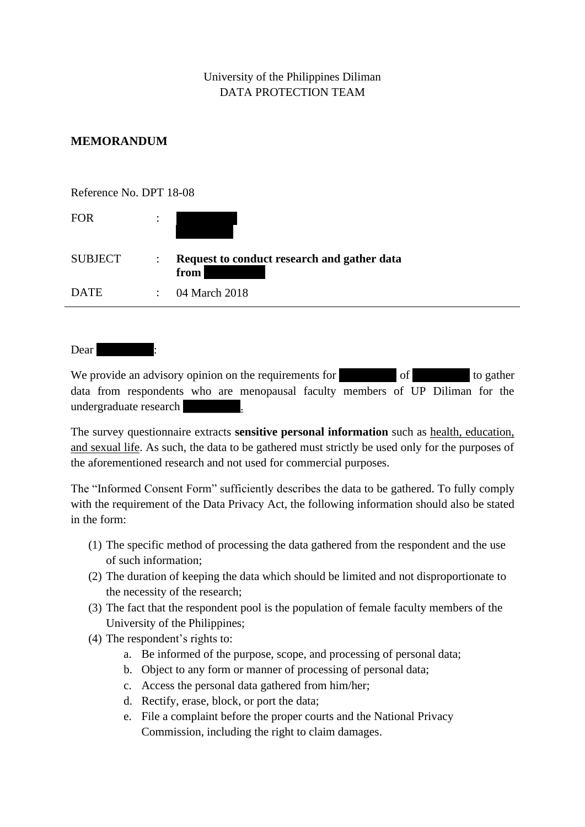## University of the Philippines Diliman DATA PROTECTION TEAM

### **MEMORANDUM**

| Reference No. DPT 18-08 |                      |                                                     |
|-------------------------|----------------------|-----------------------------------------------------|
| <b>FOR</b>              | $\ddot{\cdot}$       |                                                     |
| <b>SUBJECT</b>          | $\ddot{\phantom{a}}$ | Request to conduct research and gather data<br>from |
| <b>DATE</b>             | $\ddot{\phantom{0}}$ | 04 March 2018                                       |

Dear **Dear** 

We provide an advisory opinion on the requirements for  $\qquad$  of  $\qquad$  to gather data from respondents who are menopausal faculty members of UP Diliman for the undergraduate research [Redacted].

The survey questionnaire extracts **sensitive personal information** such as health, education, and sexual life. As such, the data to be gathered must strictly be used only for the purposes of the aforementioned research and not used for commercial purposes.

The "Informed Consent Form" sufficiently describes the data to be gathered. To fully comply with the requirement of the Data Privacy Act, the following information should also be stated in the form:

- (1) The specific method of processing the data gathered from the respondent and the use of such information;
- (2) The duration of keeping the data which should be limited and not disproportionate to the necessity of the research;
- (3) The fact that the respondent pool is the population of female faculty members of the University of the Philippines;
- (4) The respondent's rights to:
	- a. Be informed of the purpose, scope, and processing of personal data;
	- b. Object to any form or manner of processing of personal data;
	- c. Access the personal data gathered from him/her;
	- d. Rectify, erase, block, or port the data;
	- e. File a complaint before the proper courts and the National Privacy Commission, including the right to claim damages.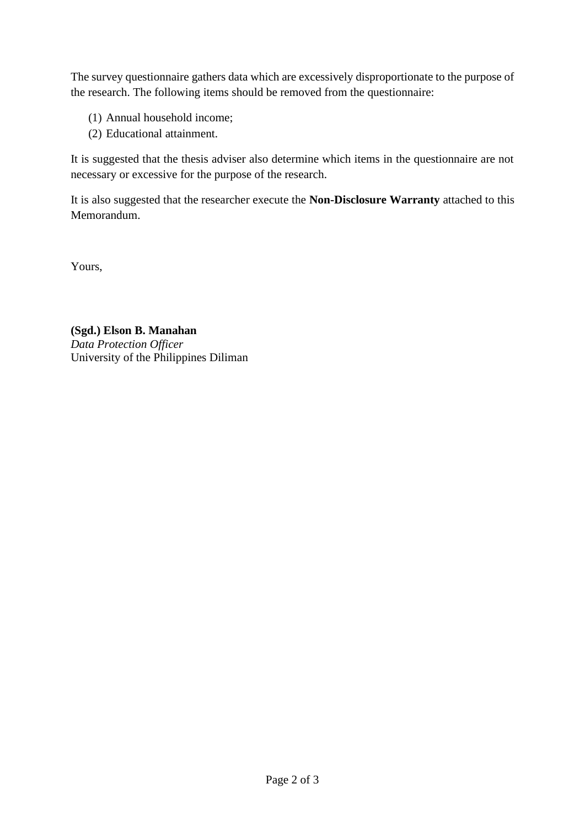The survey questionnaire gathers data which are excessively disproportionate to the purpose of the research. The following items should be removed from the questionnaire:

- (1) Annual household income;
- (2) Educational attainment.

It is suggested that the thesis adviser also determine which items in the questionnaire are not necessary or excessive for the purpose of the research.

It is also suggested that the researcher execute the **Non-Disclosure Warranty** attached to this Memorandum.

Yours,

**(Sgd.) Elson B. Manahan** *Data Protection Officer* University of the Philippines Diliman